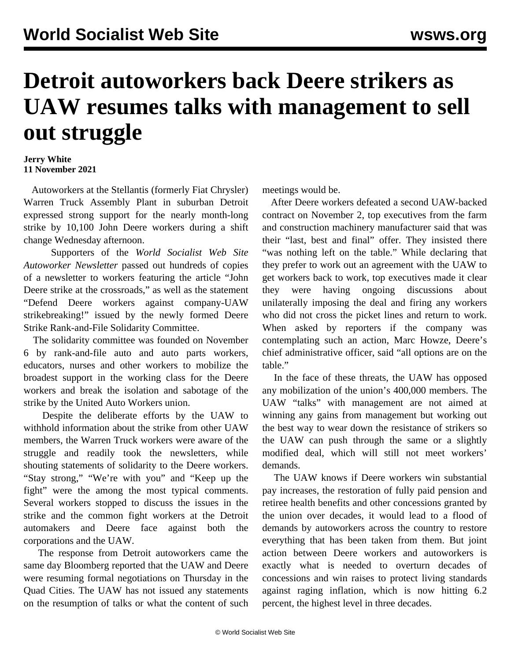## **Detroit autoworkers back Deere strikers as UAW resumes talks with management to sell out struggle**

## **Jerry White 11 November 2021**

 Autoworkers at the Stellantis (formerly Fiat Chrysler) Warren Truck Assembly Plant in suburban Detroit expressed strong support for the nearly month-long strike by 10,100 John Deere workers during a shift change Wednesday afternoon.

 Supporters of the *World Socialist Web Site Autoworker Newsletter* passed out hundreds of copies of a newsletter to workers featuring the article "[John](/en/articles/2021/11/10/pers-n10.html) [Deere strike at the crossroads](/en/articles/2021/11/10/pers-n10.html)," as well as the statement "[Defend Deere workers against company-UAW](/en/articles/2021/11/10/deer-n10.html) [strikebreaking!"](/en/articles/2021/11/10/deer-n10.html) issued by the newly formed Deere Strike Rank-and-File Solidarity Committee.

 The solidarity committee was founded on November 6 by rank-and-file auto and auto parts workers, educators, nurses and other workers to mobilize the broadest support in the working class for the Deere workers and break the isolation and sabotage of the strike by the United Auto Workers union.

 Despite the deliberate efforts by the UAW to withhold information about the strike from other UAW members, the Warren Truck workers were aware of the struggle and readily took the newsletters, while shouting statements of solidarity to the Deere workers. "Stay strong," "We're with you" and "Keep up the fight" were the among the most typical comments. Several workers stopped to discuss the issues in the strike and the common fight workers at the Detroit automakers and Deere face against both the corporations and the UAW.

 The response from Detroit autoworkers came the same day Bloomberg reported that the UAW and Deere were resuming formal negotiations on Thursday in the Quad Cities. The UAW has not issued any statements on the resumption of talks or what the content of such meetings would be.

 After Deere workers defeated a second UAW-backed contract on November 2, top executives from the farm and construction machinery manufacturer said that was their "last, best and final" offer. They insisted there "was nothing left on the table." While declaring that they prefer to work out an agreement with the UAW to get workers back to work, top executives made it clear they were having ongoing discussions about unilaterally imposing the deal and firing any workers who did not cross the picket lines and return to work. When asked by reporters if the company was contemplating such an action, Marc Howze, Deere's chief administrative officer, said "all options are on the table."

 In the face of these threats, the UAW has opposed any mobilization of the union's 400,000 members. The UAW "talks" with management are not aimed at winning any gains from management but working out the best way to wear down the resistance of strikers so the UAW can push through the same or a slightly modified deal, which will still not meet workers' demands.

 The UAW knows if Deere workers win substantial pay increases, the restoration of fully paid pension and retiree health benefits and other concessions granted by the union over decades, it would lead to a flood of demands by autoworkers across the country to restore everything that has been taken from them. But joint action between Deere workers and autoworkers is exactly what is needed to overturn decades of concessions and win raises to protect living standards against raging inflation, which is now hitting 6.2 percent, the highest level in three decades.